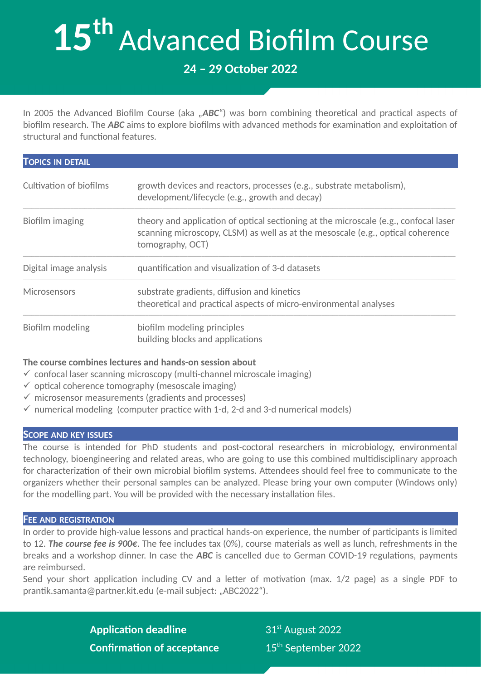# **15th** Advanced Biofilm Course

# **24 – 29 October 2022**

In 2005 the Advanced Biofilm Course (aka "ABC") was born combining theoretical and practical aspects of biofilm research. The *ABC* aims to explore biofilms with advanced methods for examination and exploitation of structural and functional features.

| <b>TOPICS IN DETAIL</b>        |                                                                                                                                                                                             |
|--------------------------------|---------------------------------------------------------------------------------------------------------------------------------------------------------------------------------------------|
| <b>Cultivation of biofilms</b> | growth devices and reactors, processes (e.g., substrate metabolism),<br>development/lifecycle (e.g., growth and decay)                                                                      |
| Biofilm imaging                | theory and application of optical sectioning at the microscale (e.g., confocal laser<br>scanning microscopy, CLSM) as well as at the mesoscale (e.g., optical coherence<br>tomography, OCT) |
| Digital image analysis         | quantification and visualization of 3-d datasets                                                                                                                                            |
| <b>Microsensors</b>            | substrate gradients, diffusion and kinetics<br>theoretical and practical aspects of micro-environmental analyses                                                                            |
| Biofilm modeling               | biofilm modeling principles<br>building blocks and applications                                                                                                                             |

## **The course combines lectures and hands-on session about**

- $\checkmark$  confocal laser scanning microscopy (multi-channel microscale imaging)
- $\checkmark$  optical coherence tomography (mesoscale imaging)
- $\checkmark$  microsensor measurements (gradients and processes)
- $\checkmark$  numerical modeling (computer practice with 1-d, 2-d and 3-d numerical models)

#### **SCOPE AND KEY ISSUES**

The course is intended for PhD students and post-coctoral researchers in microbiology, environmental technology, bioengineering and related areas, who are going to use this combined multidisciplinary approach for characterization of their own microbial biofilm systems. Attendees should feel free to communicate to the organizers whether their personal samples can be analyzed. Please bring your own computer (Windows only) for the modelling part. You will be provided with the necessary installation files.

#### **FEE AND REGISTRATION**

In order to provide high-value lessons and practical hands-on experience, the number of participants is limited to 12. *The course fee is 900€*. The fee includes tax (0%), course materials as well as lunch, refreshments in the breaks and a workshop dinner. In case the *ABC* is cancelled due to German COVID-19 regulations, payments are reimbursed.

Send your short application including CV and a letter of motivation (max. 1/2 page) as a single PDF to [prantik.samanta@partner.kit.edu](mailto:prantik.samanta@partner.kit.edu) (e-mail subject: "ABC2022").

> **Application deadline** 31<sup>st</sup> August 2022 **Confirmation of acceptance** 15<sup>th</sup> September 2022